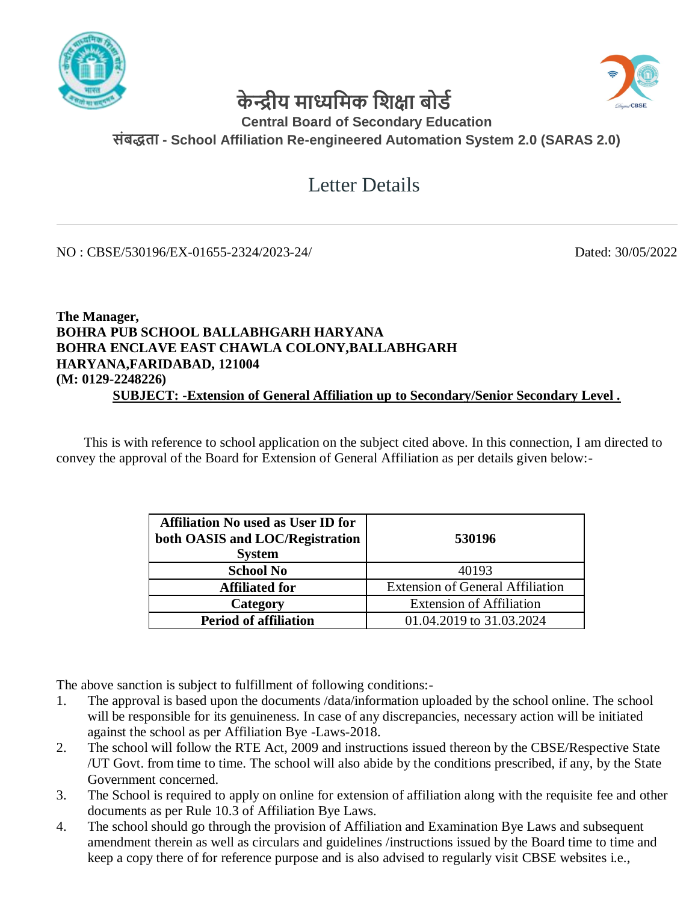



## **के न्द्रीय माध्यममक मिक्षा बोर्ड**

## **Central Board of Secondary Education संबद्धता - School Affiliation Re-engineered Automation System 2.0 (SARAS 2.0)**

## Letter Details

NO : CBSE/530196/EX-01655-2324/2023-24/ Dated: 30/05/2022

## **The Manager, BOHRA PUB SCHOOL BALLABHGARH HARYANA BOHRA ENCLAVE EAST CHAWLA COLONY,BALLABHGARH HARYANA,FARIDABAD, 121004 (M: 0129-2248226) SUBJECT: -Extension of General Affiliation up to Secondary/Senior Secondary Level .**

 This is with reference to school application on the subject cited above. In this connection, I am directed to convey the approval of the Board for Extension of General Affiliation as per details given below:-

| <b>Affiliation No used as User ID for</b><br>both OASIS and LOC/Registration<br><b>System</b> | 530196                                  |
|-----------------------------------------------------------------------------------------------|-----------------------------------------|
| <b>School No</b>                                                                              | 40193                                   |
| <b>Affiliated for</b>                                                                         | <b>Extension of General Affiliation</b> |
| Category                                                                                      | <b>Extension of Affiliation</b>         |
| <b>Period of affiliation</b>                                                                  | 01.04.2019 to 31.03.2024                |

The above sanction is subject to fulfillment of following conditions:-

- 1. The approval is based upon the documents /data/information uploaded by the school online. The school will be responsible for its genuineness. In case of any discrepancies, necessary action will be initiated against the school as per Affiliation Bye -Laws-2018.
- 2. The school will follow the RTE Act, 2009 and instructions issued thereon by the CBSE/Respective State /UT Govt. from time to time. The school will also abide by the conditions prescribed, if any, by the State Government concerned.
- 3. The School is required to apply on online for extension of affiliation along with the requisite fee and other documents as per Rule 10.3 of Affiliation Bye Laws.
- 4. The school should go through the provision of Affiliation and Examination Bye Laws and subsequent amendment therein as well as circulars and guidelines /instructions issued by the Board time to time and keep a copy there of for reference purpose and is also advised to regularly visit CBSE websites i.e.,